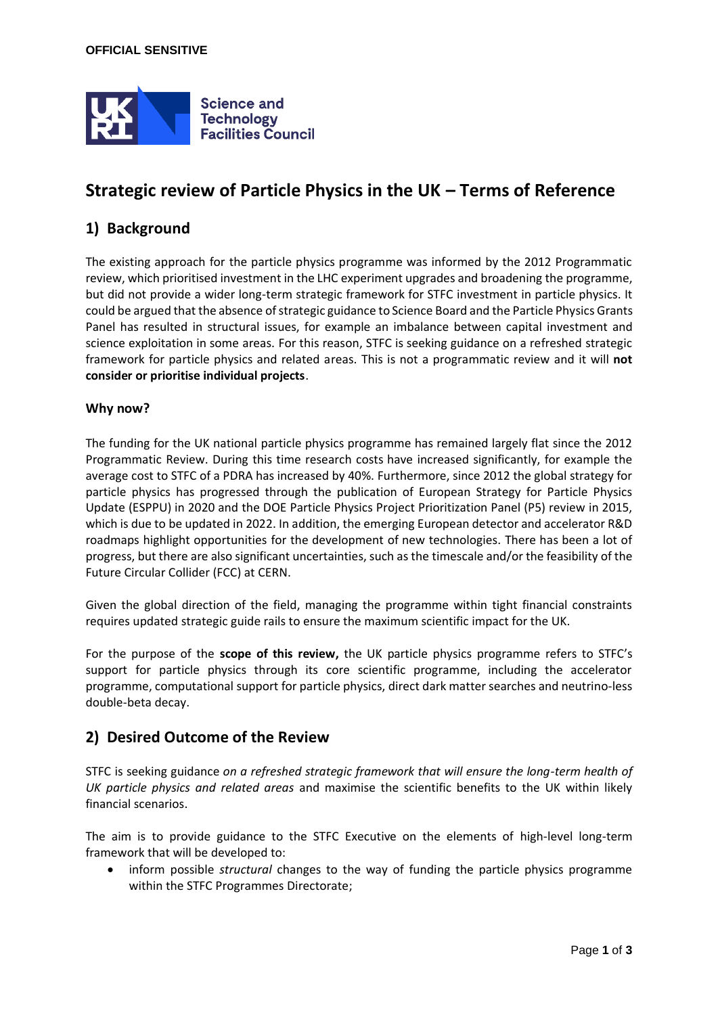

# **Strategic review of Particle Physics in the UK – Terms of Reference**

## **1) Background**

The existing approach for the particle physics programme was informed by the 2012 Programmatic review, which prioritised investment in the LHC experiment upgrades and broadening the programme, but did not provide a wider long-term strategic framework for STFC investment in particle physics. It could be argued that the absence of strategic guidance to Science Board and the Particle Physics Grants Panel has resulted in structural issues, for example an imbalance between capital investment and science exploitation in some areas. For this reason, STFC is seeking guidance on a refreshed strategic framework for particle physics and related areas. This is not a programmatic review and it will **not consider or prioritise individual projects**.

#### **Why now?**

The funding for the UK national particle physics programme has remained largely flat since the 2012 Programmatic Review. During this time research costs have increased significantly, for example the average cost to STFC of a PDRA has increased by 40%. Furthermore, since 2012 the global strategy for particle physics has progressed through the publication of European Strategy for Particle Physics Update (ESPPU) in 2020 and the DOE Particle Physics Project Prioritization Panel (P5) review in 2015, which is due to be updated in 2022. In addition, the emerging European detector and accelerator R&D roadmaps highlight opportunities for the development of new technologies. There has been a lot of progress, but there are also significant uncertainties, such as the timescale and/or the feasibility of the Future Circular Collider (FCC) at CERN.

Given the global direction of the field, managing the programme within tight financial constraints requires updated strategic guide rails to ensure the maximum scientific impact for the UK.

For the purpose of the **scope of this review,** the UK particle physics programme refers to STFC's support for particle physics through its core scientific programme, including the accelerator programme, computational support for particle physics, direct dark matter searches and neutrino-less double-beta decay.

### **2) Desired Outcome of the Review**

STFC is seeking guidance *on a refreshed strategic framework that will ensure the long-term health of UK particle physics and related areas* and maximise the scientific benefits to the UK within likely financial scenarios.

The aim is to provide guidance to the STFC Executive on the elements of high-level long-term framework that will be developed to:

• inform possible *structural* changes to the way of funding the particle physics programme within the STFC Programmes Directorate;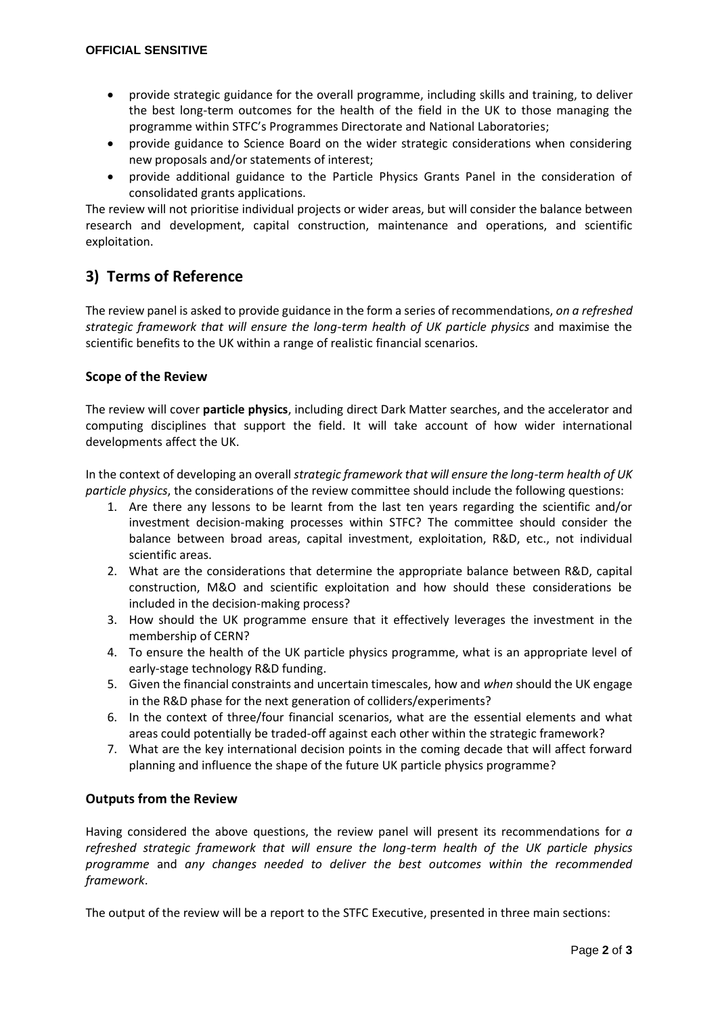- provide strategic guidance for the overall programme, including skills and training, to deliver the best long-term outcomes for the health of the field in the UK to those managing the programme within STFC's Programmes Directorate and National Laboratories;
- provide guidance to Science Board on the wider strategic considerations when considering new proposals and/or statements of interest;
- provide additional guidance to the Particle Physics Grants Panel in the consideration of consolidated grants applications.

The review will not prioritise individual projects or wider areas, but will consider the balance between research and development, capital construction, maintenance and operations, and scientific exploitation.

# **3) Terms of Reference**

The review panel is asked to provide guidance in the form a series of recommendations, *on a refreshed strategic framework that will ensure the long-term health of UK particle physics* and maximise the scientific benefits to the UK within a range of realistic financial scenarios.

### **Scope of the Review**

The review will cover **particle physics**, including direct Dark Matter searches, and the accelerator and computing disciplines that support the field. It will take account of how wider international developments affect the UK.

In the context of developing an overall *strategic framework that will ensure the long-term health of UK particle physics*, the considerations of the review committee should include the following questions:

- 1. Are there any lessons to be learnt from the last ten years regarding the scientific and/or investment decision-making processes within STFC? The committee should consider the balance between broad areas, capital investment, exploitation, R&D, etc., not individual scientific areas.
- 2. What are the considerations that determine the appropriate balance between R&D, capital construction, M&O and scientific exploitation and how should these considerations be included in the decision-making process?
- 3. How should the UK programme ensure that it effectively leverages the investment in the membership of CERN?
- 4. To ensure the health of the UK particle physics programme, what is an appropriate level of early-stage technology R&D funding.
- 5. Given the financial constraints and uncertain timescales, how and *when* should the UK engage in the R&D phase for the next generation of colliders/experiments?
- 6. In the context of three/four financial scenarios, what are the essential elements and what areas could potentially be traded-off against each other within the strategic framework?
- 7. What are the key international decision points in the coming decade that will affect forward planning and influence the shape of the future UK particle physics programme?

### **Outputs from the Review**

Having considered the above questions, the review panel will present its recommendations for *a refreshed strategic framework that will ensure the long-term health of the UK particle physics programme* and *any changes needed to deliver the best outcomes within the recommended framework*.

The output of the review will be a report to the STFC Executive, presented in three main sections: